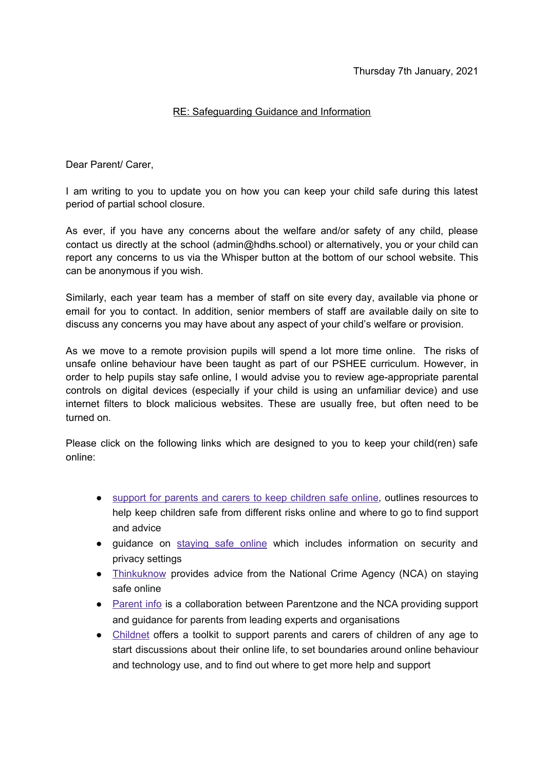## RE: Safeguarding Guidance and Information

Dear Parent/ Carer,

I am writing to you to update you on how you can keep your child safe during this latest period of partial school closure.

As ever, if you have any concerns about the welfare and/or safety of any child, please contact us directly at the school (admin@hdhs.school) or alternatively, you or your child can report any concerns to us via the Whisper button at the bottom of our school website. This can be anonymous if you wish.

Similarly, each year team has a member of staff on site every day, available via phone or email for you to contact. In addition, senior members of staff are available daily on site to discuss any concerns you may have about any aspect of your child's welfare or provision.

As we move to a remote provision pupils will spend a lot more time online. The risks of unsafe online behaviour have been taught as part of our PSHEE curriculum. However, in order to help pupils stay safe online, I would advise you to review age-appropriate parental controls on digital devices (especially if your child is using an unfamiliar device) and use internet filters to block malicious websites. These are usually free, but often need to be turned on.

Please click on the following links which are designed to you to keep your child(ren) safe online:

- support for parents and carers to keep [children](https://www.gov.uk/government/publications/coronavirus-covid-19-keeping-children-safe-online/coronavirus-covid-19-support-for-parents-and-carers-to-keep-children-safe-online) safe online, outlines resources to help keep children safe from different risks online and where to go to find support and advice
- guidance on [staying](https://www.gov.uk/guidance/covid-19-staying-safe-online) safe online which includes information on security and privacy settings
- [Thinkuknow](https://www.thinkuknow.co.uk/) provides advice from the National Crime Agency (NCA) on staying safe online
- [Parent](https://parentinfo.org/) info is a collaboration between Parentzone and the NCA providing support and guidance for parents from leading experts and organisations
- [Childnet](https://www.childnet.com/parents-and-carers/parent-and-carer-toolkit) offers a toolkit to support parents and carers of children of any age to start discussions about their online life, to set boundaries around online behaviour and technology use, and to find out where to get more help and support